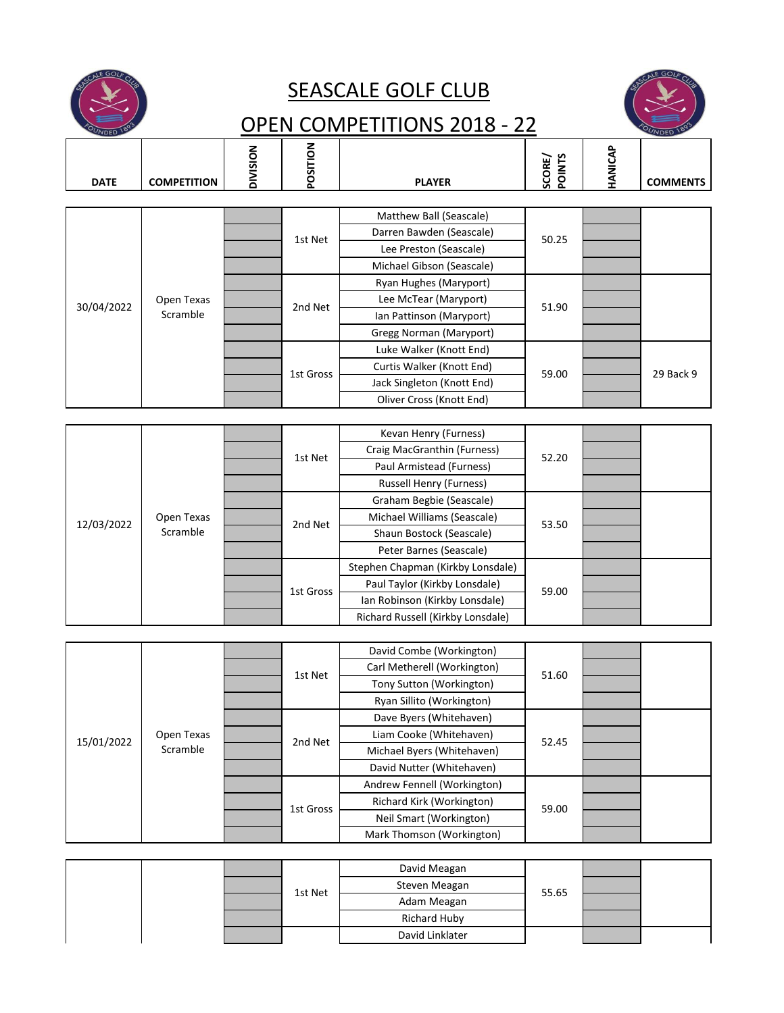

## SEASCALE GOLF CLUB



## OPEN COMPETITIONS 2018 - 22

| 1010        |                        |                 |                             |                                   |                  |         | 10L             |
|-------------|------------------------|-----------------|-----------------------------|-----------------------------------|------------------|---------|-----------------|
|             |                        |                 |                             |                                   |                  |         |                 |
| <b>DATE</b> | <b>COMPETITION</b>     | <b>DIVISION</b> | POSITION                    | <b>PLAYER</b>                     | SCORE/<br>POINTS | HANICAP | <b>COMMENTS</b> |
|             |                        |                 |                             |                                   |                  |         |                 |
|             |                        |                 |                             | Matthew Ball (Seascale)           |                  |         |                 |
|             |                        |                 |                             | Darren Bawden (Seascale)          |                  |         |                 |
|             |                        |                 | 1st Net                     | Lee Preston (Seascale)            | 50.25            |         |                 |
|             |                        |                 |                             | Michael Gibson (Seascale)         |                  |         |                 |
|             |                        |                 |                             | Ryan Hughes (Maryport)            |                  |         |                 |
|             | Open Texas             |                 |                             | Lee McTear (Maryport)             |                  |         |                 |
| 30/04/2022  | Scramble               |                 | 2nd Net                     | Ian Pattinson (Maryport)          | 51.90            |         |                 |
|             |                        |                 |                             | Gregg Norman (Maryport)           |                  |         |                 |
|             |                        |                 |                             | Luke Walker (Knott End)           |                  |         |                 |
|             |                        |                 | 1st Gross                   | Curtis Walker (Knott End)         | 59.00            |         | 29 Back 9       |
|             |                        |                 |                             | Jack Singleton (Knott End)        |                  |         |                 |
|             |                        |                 |                             | Oliver Cross (Knott End)          |                  |         |                 |
|             |                        |                 |                             |                                   |                  |         |                 |
|             |                        |                 |                             | Kevan Henry (Furness)             |                  |         |                 |
|             |                        |                 | 1st Net                     | Craig MacGranthin (Furness)       | 52.20            |         |                 |
|             |                        |                 |                             | Paul Armistead (Furness)          |                  |         |                 |
|             | Open Texas<br>Scramble |                 |                             | <b>Russell Henry (Furness)</b>    |                  |         |                 |
|             |                        |                 |                             | Graham Begbie (Seascale)          |                  |         |                 |
| 12/03/2022  |                        | 2nd Net         | Michael Williams (Seascale) | 53.50                             |                  |         |                 |
|             |                        |                 | Shaun Bostock (Seascale)    |                                   |                  |         |                 |
|             |                        |                 | Peter Barnes (Seascale)     |                                   |                  |         |                 |
|             |                        |                 |                             | Stephen Chapman (Kirkby Lonsdale) |                  |         |                 |
|             |                        |                 | 1st Gross                   | Paul Taylor (Kirkby Lonsdale)     | 59.00            |         |                 |
|             |                        |                 |                             | Ian Robinson (Kirkby Lonsdale)    |                  |         |                 |
|             |                        |                 |                             | Richard Russell (Kirkby Lonsdale) |                  |         |                 |
|             |                        |                 |                             |                                   |                  |         |                 |
|             |                        |                 |                             | David Combe (Workington)          |                  |         |                 |
|             |                        |                 | 1st Net                     | Carl Metherell (Workington)       | 51.60            |         |                 |
|             |                        |                 |                             | Tony Sutton (Workington)          |                  |         |                 |
|             |                        |                 |                             | Ryan Sillito (Workington)         |                  |         |                 |
|             |                        |                 |                             | Dave Byers (Whitehaven)           |                  |         |                 |
| 15/01/2022  | Open Texas             |                 | 2nd Net                     | Liam Cooke (Whitehaven)           | 52.45            |         |                 |
|             | Scramble               |                 |                             | Michael Byers (Whitehaven)        |                  |         |                 |
|             |                        |                 |                             | David Nutter (Whitehaven)         |                  |         |                 |
|             |                        |                 |                             | Andrew Fennell (Workington)       |                  |         |                 |
|             |                        |                 | 1st Gross                   | Richard Kirk (Workington)         | 59.00            |         |                 |
|             |                        |                 |                             | Neil Smart (Workington)           |                  |         |                 |
|             |                        |                 |                             | Mark Thomson (Workington)         |                  |         |                 |
|             |                        |                 |                             |                                   |                  |         |                 |

|  |         | David Meagan    |       |  |
|--|---------|-----------------|-------|--|
|  | 1st Net | Steven Meagan   | 55.65 |  |
|  |         | Adam Meagan     |       |  |
|  |         | Richard Huby    |       |  |
|  |         | David Linklater |       |  |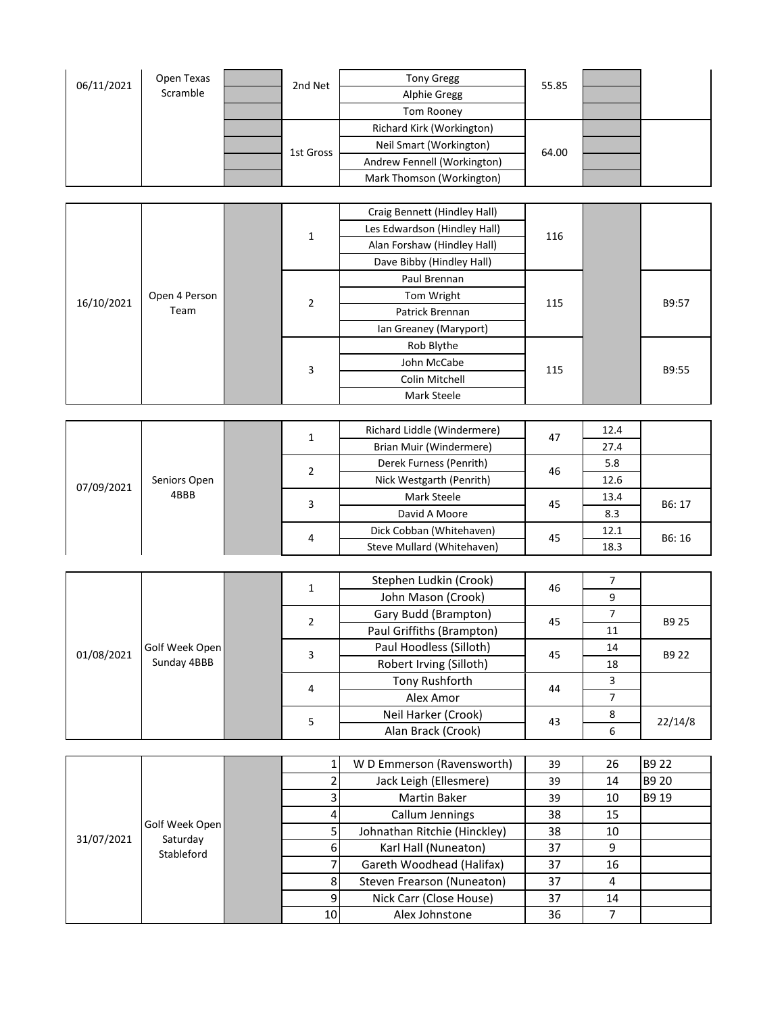| 06/11/2021 | Open Texas |  | 2nd Net      | <b>Tony Gregg</b>            | 55.85 |  |
|------------|------------|--|--------------|------------------------------|-------|--|
|            | Scramble   |  |              | <b>Alphie Gregg</b>          |       |  |
|            |            |  |              | Tom Rooney                   |       |  |
|            |            |  |              | Richard Kirk (Workington)    |       |  |
|            |            |  |              | Neil Smart (Workington)      | 64.00 |  |
|            |            |  | 1st Gross    | Andrew Fennell (Workington)  |       |  |
|            |            |  |              | Mark Thomson (Workington)    |       |  |
|            |            |  |              |                              |       |  |
|            |            |  |              | Craig Bennett (Hindley Hall) |       |  |
|            |            |  | $\mathbf{1}$ | Les Edwardson (Hindley Hall) | 116   |  |
|            |            |  |              | Alan Forshaw (Hindley Hall)  |       |  |

|            |               |   |   | Dave Bibby (Hindley Hall) |     |  |       |
|------------|---------------|---|---|---------------------------|-----|--|-------|
| 16/10/2021 |               |   |   | Paul Brennan              |     |  |       |
|            | Open 4 Person |   | 2 | Tom Wright                | 115 |  | B9:57 |
|            | Team          |   |   | Patrick Brennan           |     |  |       |
|            |               | 3 |   | Ian Greaney (Maryport)    |     |  |       |
|            |               |   |   | Rob Blythe                |     |  |       |
|            |               |   |   | John McCabe               | 115 |  | B9:55 |
|            |               |   |   | Colin Mitchell            |     |  |       |
|            |               |   |   | Mark Steele               |     |  |       |

|            |              |        |   | Richard Liddle (Windermere) | 47 | 12.4 |       |
|------------|--------------|--------|---|-----------------------------|----|------|-------|
| 07/09/2021 |              |        |   | Brian Muir (Windermere)     |    | 27.4 |       |
|            |              |        | 2 | Derek Furness (Penrith)     | 46 | 5.8  |       |
|            | Seniors Open | 3<br>4 |   | Nick Westgarth (Penrith)    |    | 12.6 |       |
|            | 4BBB         |        |   | Mark Steele                 | 45 | 13.4 | B6:17 |
|            |              |        |   | David A Moore               |    | 8.3  |       |
|            |              |        |   | Dick Cobban (Whitehaven)    | 45 | 12.1 |       |
|            |              |        |   | Steve Mullard (Whitehaven)  |    | 18.3 | B6:16 |

|            |                |   |                           | Stephen Ludkin (Crook)  | 46 |    |         |
|------------|----------------|---|---------------------------|-------------------------|----|----|---------|
| 01/08/2021 |                |   | ı                         | John Mason (Crook)      |    | 9  |         |
|            |                |   |                           | Gary Budd (Brampton)    | 45 |    | B9 25   |
|            |                |   | Paul Griffiths (Brampton) |                         | 11 |    |         |
|            | Golf Week Open |   | 3                         | Paul Hoodless (Silloth) | 45 | 14 | B9 22   |
|            | Sunday 4BBB    |   |                           | Robert Irving (Silloth) |    | 18 |         |
|            |                |   | 4                         | Tony Rushforth          | 44 |    |         |
|            |                |   |                           | Alex Amor               |    |    |         |
|            |                |   |                           | Neil Harker (Crook)     | 43 |    | 22/14/8 |
|            |                | 5 | Alan Brack (Crook)        |                         | 6  |    |         |

|                              |            |  |    | W D Emmerson (Ravensworth)   | 39 | 26 | B9 22 |
|------------------------------|------------|--|----|------------------------------|----|----|-------|
|                              |            |  |    | Jack Leigh (Ellesmere)       | 39 | 14 | B9 20 |
|                              |            |  |    | Martin Baker                 | 39 | 10 | B9 19 |
| Golf Week Open<br>31/07/2021 |            |  |    | Callum Jennings              | 38 | 15 |       |
|                              | Saturday   |  |    | Johnathan Ritchie (Hinckley) | 38 | 10 |       |
|                              | Stableford |  |    | Karl Hall (Nuneaton)         | 37 | 9  |       |
|                              |            |  |    | Gareth Woodhead (Halifax)    | 37 | 16 |       |
|                              |            |  |    | Steven Frearson (Nuneaton)   | 37 | 4  |       |
|                              |            |  |    | Nick Carr (Close House)      | 37 | 14 |       |
|                              |            |  | 10 | Alex Johnstone               | 36 |    |       |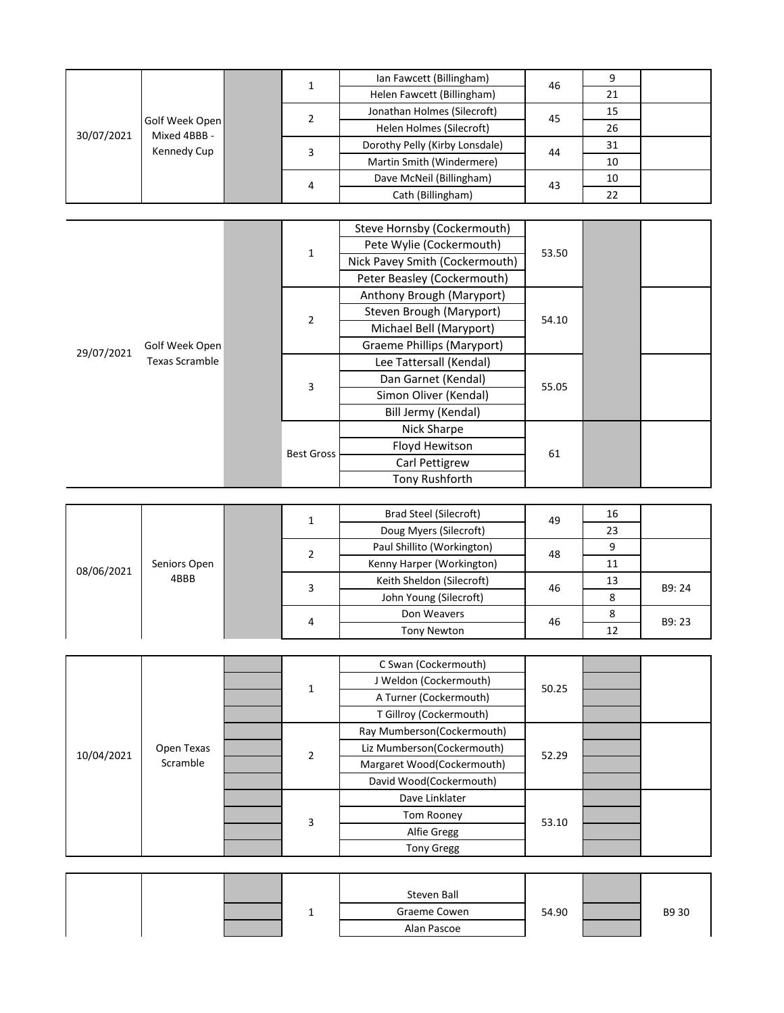|                                                             |  |  |   | Ian Fawcett (Billingham)       | 46 |    |  |
|-------------------------------------------------------------|--|--|---|--------------------------------|----|----|--|
| Golf Week Open<br>Mixed 4BBB -<br>30/07/2021<br>Kennedy Cup |  |  |   | Helen Fawcett (Billingham)     |    | 21 |  |
|                                                             |  |  |   | Jonathan Holmes (Silecroft)    | 45 | 15 |  |
|                                                             |  |  |   | Helen Holmes (Silecroft)       |    | 26 |  |
|                                                             |  |  |   | Dorothy Pelly (Kirby Lonsdale) | 44 | 31 |  |
|                                                             |  |  |   | Martin Smith (Windermere)      |    | 10 |  |
|                                                             |  |  | 4 | Dave McNeil (Billingham)       | 43 | 10 |  |
|                                                             |  |  |   | Cath (Billingham)              |    | 22 |  |

|            |                       |                |                           | Steve Hornsby (Cockermouth)    |       |  |
|------------|-----------------------|----------------|---------------------------|--------------------------------|-------|--|
|            |                       |                | $\mathbf{1}$              | Pete Wylie (Cockermouth)       | 53.50 |  |
|            |                       |                |                           | Nick Pavey Smith (Cockermouth) |       |  |
| 29/07/2021 |                       |                |                           | Peter Beasley (Cockermouth)    |       |  |
|            |                       |                | Anthony Brough (Maryport) |                                |       |  |
|            |                       | $\overline{2}$ | Steven Brough (Maryport)  | 54.10                          |       |  |
|            |                       |                | Michael Bell (Maryport)   |                                |       |  |
|            | Golf Week Open        |                |                           | Graeme Phillips (Maryport)     |       |  |
|            | <b>Texas Scramble</b> |                | 3                         | Lee Tattersall (Kendal)        |       |  |
|            |                       |                |                           | Dan Garnet (Kendal)            | 55.05 |  |
|            |                       |                |                           | Simon Oliver (Kendal)          |       |  |
|            |                       |                |                           | Bill Jermy (Kendal)            |       |  |
|            |                       |                |                           | Nick Sharpe                    |       |  |
|            |                       |                | <b>Best Gross</b>         | Floyd Hewitson                 | 61    |  |
|            |                       |                |                           | Carl Pettigrew                 |       |  |
|            |                       |                |                           | Tony Rushforth                 |       |  |

|            |              |  |   | Brad Steel (Silecroft)     | 49 | 16 |       |
|------------|--------------|--|---|----------------------------|----|----|-------|
|            |              |  |   | Doug Myers (Silecroft)     |    | 23 |       |
|            |              |  |   | Paul Shillito (Workington) | 48 | 9  |       |
| 08/06/2021 | Seniors Open |  |   | Kenny Harper (Workington)  |    | 11 |       |
|            | 4BBB         |  |   | Keith Sheldon (Silecroft)  | 46 | 13 | B9:24 |
|            |              |  |   | John Young (Silecroft)     |    | 8  |       |
|            |              |  | 4 | Don Weavers                | 46 | 8  | B9:23 |
|            |              |  |   | <b>Tony Newton</b>         |    | 12 |       |
|            |              |  |   |                            |    |    |       |

|            |            |  |   | C Swan (Cockermouth)       |       |  |
|------------|------------|--|---|----------------------------|-------|--|
|            |            |  | 1 | J Weldon (Cockermouth)     | 50.25 |  |
|            |            |  |   | A Turner (Cockermouth)     |       |  |
|            |            |  |   | T Gillroy (Cockermouth)    |       |  |
|            |            |  |   | Ray Mumberson(Cockermouth) |       |  |
| 10/04/2021 | Open Texas |  | 2 | Liz Mumberson(Cockermouth) | 52.29 |  |
|            | Scramble   |  |   | Margaret Wood(Cockermouth) |       |  |
|            |            |  |   | David Wood(Cockermouth)    |       |  |
|            |            |  |   | Dave Linklater             |       |  |
|            |            |  | 3 | <b>Tom Rooney</b>          | 53.10 |  |
|            |            |  |   | Alfie Gregg                |       |  |
|            |            |  |   | <b>Tony Gregg</b>          |       |  |

|  |  | Steven Ball  |       |       |
|--|--|--------------|-------|-------|
|  |  | Graeme Cowen | 54.90 | B9 30 |
|  |  | Alan Pascoe  |       |       |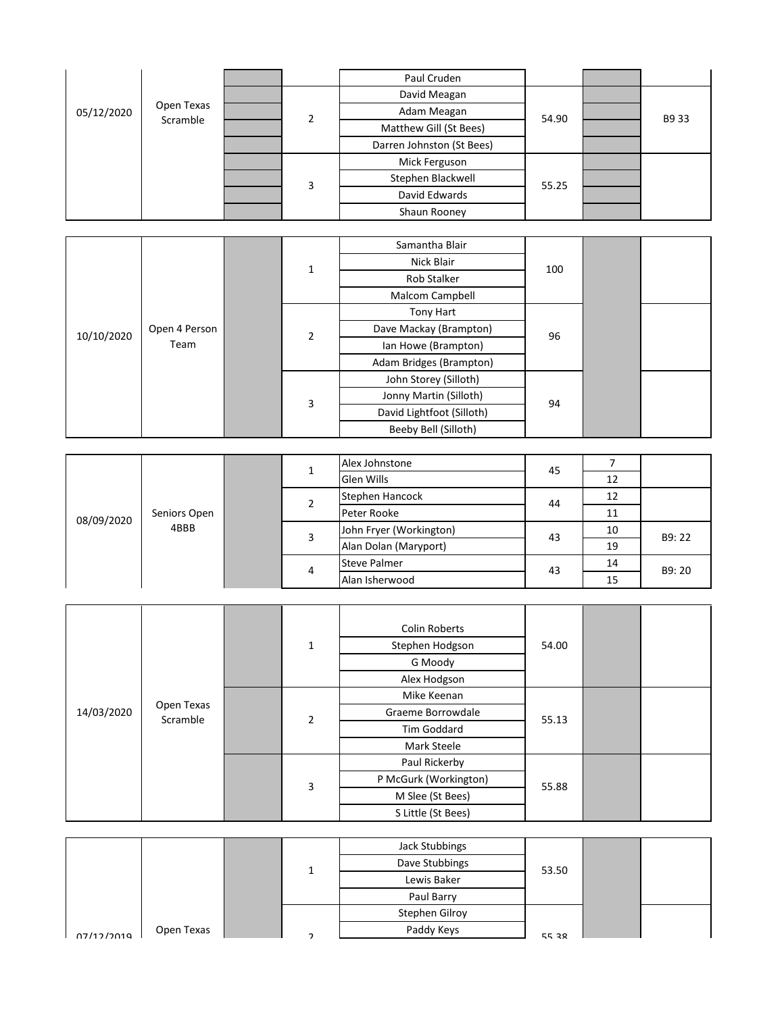|            |            |   | Paul Cruden               |       |       |
|------------|------------|---|---------------------------|-------|-------|
|            |            |   | David Meagan              |       |       |
| 05/12/2020 | Open Texas | C | Adam Meagan               | 54.90 | B9 33 |
|            | Scramble   |   | Matthew Gill (St Bees)    |       |       |
|            |            |   | Darren Johnston (St Bees) |       |       |
|            |            |   | Mick Ferguson             |       |       |
|            |            | 3 | Stephen Blackwell         | 55.25 |       |
|            |            |   | David Edwards             |       |       |
|            |            |   | Shaun Rooney              |       |       |

|            |               |   |             | Samantha Blair            |     |    |  |
|------------|---------------|---|-------------|---------------------------|-----|----|--|
|            |               |   | 1           | Nick Blair                | 100 |    |  |
|            |               |   |             | Rob Stalker               |     |    |  |
|            |               |   |             | Malcom Campbell           |     |    |  |
|            |               |   |             | <b>Tony Hart</b>          |     |    |  |
| 10/10/2020 | Open 4 Person |   | $\mathbf 2$ | Dave Mackay (Brampton)    | 96  |    |  |
|            | Team          |   |             | Ian Howe (Brampton)       |     |    |  |
|            |               |   |             | Adam Bridges (Brampton)   |     |    |  |
|            |               |   |             | John Storey (Silloth)     |     |    |  |
|            |               |   | 3           | Jonny Martin (Silloth)    | 94  |    |  |
|            |               |   |             | David Lightfoot (Silloth) |     |    |  |
|            |               |   |             | Beeby Bell (Silloth)      |     |    |  |
|            |               |   |             |                           |     |    |  |
|            |               | 1 |             | Alex Johnstone            | 45  | 7  |  |
|            |               |   |             | Glen Wills                |     | 12 |  |
|            |               |   | 2           | Stephen Hancock           | 44  | 12 |  |
|            |               |   |             |                           |     |    |  |

| 08/09/2020 |              |   |  | Alex Johnstone          | 45 |    |       |
|------------|--------------|---|--|-------------------------|----|----|-------|
|            |              |   |  | Glen Wills              |    | 12 |       |
|            |              |   |  | Stephen Hancock         | 44 | 12 |       |
|            | Seniors Open |   |  | Peter Rooke             |    | 11 |       |
|            | 4BBB         |   |  | John Fryer (Workington) | 43 | 10 | B9:22 |
|            |              | 4 |  | Alan Dolan (Maryport)   |    | 19 |       |
|            |              |   |  | <b>Steve Palmer</b>     | 43 | 14 | B9:20 |
|            |              |   |  | Alan Isherwood          |    | 15 |       |

|            |               |                         | Paul Cruden               |       |                |       |
|------------|---------------|-------------------------|---------------------------|-------|----------------|-------|
|            |               |                         | David Meagan              |       |                |       |
| 05/12/2020 | Open Texas    |                         | Adam Meagan               |       |                |       |
|            | Scramble      | $\overline{2}$          | Matthew Gill (St Bees)    | 54.90 |                | B9 33 |
|            |               |                         | Darren Johnston (St Bees) |       |                |       |
|            |               |                         | Mick Ferguson             |       |                |       |
|            |               |                         | Stephen Blackwell         |       |                |       |
|            |               | $\overline{\mathbf{3}}$ | David Edwards             | 55.25 |                |       |
|            |               |                         | Shaun Rooney              |       |                |       |
|            |               |                         |                           |       |                |       |
|            |               |                         | Samantha Blair            |       |                |       |
|            |               | $\mathbf{1}$            | Nick Blair                | 100   |                |       |
|            |               |                         | Rob Stalker               |       |                |       |
|            |               |                         | Malcom Campbell           |       |                |       |
|            |               |                         | Tony Hart                 |       |                |       |
| 10/10/2020 | Open 4 Person | $\mathbf 2$             | Dave Mackay (Brampton)    | 96    |                |       |
|            | Team          |                         | Ian Howe (Brampton)       |       |                |       |
|            |               |                         | Adam Bridges (Brampton)   |       |                |       |
|            |               |                         | John Storey (Silloth)     |       |                |       |
|            |               | $\overline{\mathbf{3}}$ | Jonny Martin (Silloth)    | 94    |                |       |
|            |               |                         | David Lightfoot (Silloth) |       |                |       |
|            |               |                         | Beeby Bell (Silloth)      |       |                |       |
|            |               |                         |                           |       |                |       |
|            |               | $\mathbf{1}$            | Alex Johnstone            | 45    | $\overline{7}$ |       |
|            |               |                         | Glen Wills                |       | 12             |       |
|            |               | $\overline{2}$          | Stephen Hancock           | 44    | 12             |       |
| 08/09/2020 | Seniors Open  |                         | Peter Rooke               |       | 11             |       |
|            | 4BBB          | 3                       | John Fryer (Workington)   | 43    | 10             | B9:22 |
|            |               |                         | Alan Dolan (Maryport)     |       | 19             |       |
|            |               | 4                       | <b>Steve Palmer</b>       | 43    | 14             | B9:20 |
|            |               |                         | Alan Isherwood            |       | 15             |       |
|            |               |                         |                           |       |                |       |
|            |               |                         | <b>Colin Roberts</b>      |       |                |       |
|            |               | $\mathbf 1$             | Stephen Hodgson           | 54.00 |                |       |
|            |               |                         | G Moody                   |       |                |       |
|            |               |                         | Alex Hodgson              |       |                |       |
|            |               |                         | Mike Keenan               |       |                |       |
| 14/03/2020 | Open Texas    |                         | Graeme Borrowdale         |       |                |       |
|            | Scramble      | $\overline{2}$          | Tim Goddard               | 55.13 |                |       |
|            |               |                         | Mark Steele               |       |                |       |
|            |               |                         | Paul Rickerby             |       |                |       |
|            |               |                         | P McGurk (Workington)     |       |                |       |
|            |               | $\mathsf{3}$            | M Slee (St Bees)          | 55.88 |                |       |
|            |               |                         | S Little (St Bees)        |       |                |       |
|            |               |                         |                           |       |                |       |
|            |               |                         | <b>Jack Stubbings</b>     |       |                |       |
|            |               |                         | Dave Stubbings            |       |                |       |
|            |               | $\mathbf{1}$            | Lewis Baker               | 53.50 |                |       |
|            |               |                         | Paul Barry                |       |                |       |
|            |               |                         | Stephen Gilroy            |       |                |       |
| 07/12/2010 | Open Texas    | $\mathcal{L}$           | Paddy Keys                | 55 28 |                |       |
|            |               |                         |                           |       |                |       |

|            |            |  | Jack Stubbings |       |  |
|------------|------------|--|----------------|-------|--|
|            |            |  | Dave Stubbings | 53.50 |  |
|            |            |  | Lewis Baker    |       |  |
|            |            |  | Paul Barry     |       |  |
|            |            |  | Stephen Gilroy |       |  |
| 07/12/2019 | Open Texas |  | Paddy Keys     | 5538  |  |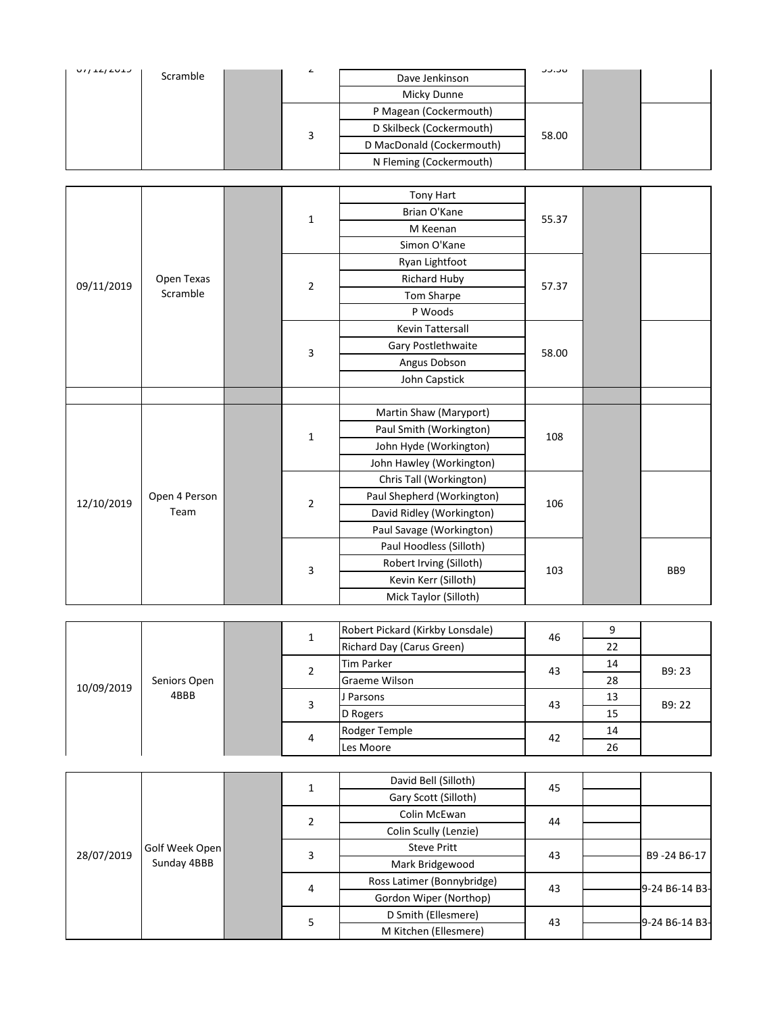| $U/I+L/LULJ$ | Scramble | ے                        | Dave Jenkinson            | <b>UU.UU</b> |  |
|--------------|----------|--------------------------|---------------------------|--------------|--|
|              |          |                          | Micky Dunne               |              |  |
|              |          | P Magean (Cockermouth)   |                           |              |  |
|              | 3        | D Skilbeck (Cockermouth) | 58.00                     |              |  |
|              |          |                          | D MacDonald (Cockermouth) |              |  |
|              |          |                          | N Fleming (Cockermouth)   |              |  |
|              |          |                          |                           |              |  |
|              |          |                          | Tony Hart                 |              |  |
|              |          | Brian O'Kane             | 55.37                     |              |  |
|              |          |                          |                           |              |  |

|            |               |  |                         | Tony Hart                  |       |                 |
|------------|---------------|--|-------------------------|----------------------------|-------|-----------------|
|            |               |  | $\mathbf 1$             | Brian O'Kane               | 55.37 |                 |
|            |               |  |                         | M Keenan                   |       |                 |
|            |               |  |                         | Simon O'Kane               |       |                 |
|            |               |  |                         | Ryan Lightfoot             |       |                 |
| 09/11/2019 | Open Texas    |  | $\sqrt{2}$              | Richard Huby               | 57.37 |                 |
|            | Scramble      |  |                         | Tom Sharpe                 |       |                 |
|            |               |  |                         | P Woods                    |       |                 |
|            |               |  |                         | Kevin Tattersall           |       |                 |
|            |               |  | 3                       | Gary Postlethwaite         | 58.00 |                 |
|            |               |  |                         | Angus Dobson               |       |                 |
|            |               |  |                         | John Capstick              |       |                 |
|            |               |  |                         |                            |       |                 |
|            |               |  | $\mathbf 1$             | Martin Shaw (Maryport)     |       |                 |
|            |               |  |                         | Paul Smith (Workington)    | 108   |                 |
|            |               |  |                         | John Hyde (Workington)     |       |                 |
|            |               |  |                         | John Hawley (Workington)   |       |                 |
|            |               |  |                         | Chris Tall (Workington)    |       |                 |
| 12/10/2019 | Open 4 Person |  | $\overline{2}$          | Paul Shepherd (Workington) | 106   |                 |
|            | Team          |  |                         | David Ridley (Workington)  |       |                 |
|            |               |  |                         | Paul Savage (Workington)   |       |                 |
|            |               |  |                         | Paul Hoodless (Silloth)    |       |                 |
|            |               |  | $\overline{\mathbf{3}}$ | Robert Irving (Silloth)    | 103   | BB <sub>9</sub> |
|            |               |  |                         | Kevin Kerr (Silloth)       |       |                 |
|            |               |  |                         | Mick Taylor (Silloth)      |       |                 |

| Seniors Open<br>10/09/2019<br>4BBB |  |  |                      | Robert Pickard (Kirkby Lonsdale) | 46 |    |       |
|------------------------------------|--|--|----------------------|----------------------------------|----|----|-------|
|                                    |  |  |                      | Richard Day (Carus Green)        |    | 22 |       |
|                                    |  |  |                      | <b>Tim Parker</b>                | 43 | 14 | B9:23 |
|                                    |  |  | <b>Graeme Wilson</b> |                                  | 28 |    |       |
|                                    |  |  | 3                    | J Parsons                        | 43 | 13 | B9:22 |
|                                    |  |  |                      | D Rogers                         |    | 15 |       |
|                                    |  |  |                      | Rodger Temple                    | 42 | 14 |       |
|                                    |  |  | 4                    | Les Moore                        |    | 26 |       |

| 12/10/2019                 |                |                | $\overline{2}$      | adi pricprici a finormingtoni    | 106 |                |                 |
|----------------------------|----------------|----------------|---------------------|----------------------------------|-----|----------------|-----------------|
| Team                       |                |                |                     | David Ridley (Workington)        |     |                |                 |
|                            |                |                |                     | Paul Savage (Workington)         |     |                |                 |
|                            |                |                |                     | Paul Hoodless (Silloth)          |     |                |                 |
|                            |                |                | 3                   | Robert Irving (Silloth)          | 103 |                | BB <sub>9</sub> |
|                            |                |                |                     | Kevin Kerr (Silloth)             |     |                |                 |
|                            |                |                |                     | Mick Taylor (Silloth)            |     |                |                 |
|                            |                |                |                     |                                  |     |                |                 |
|                            |                |                | $\mathbf{1}$        | Robert Pickard (Kirkby Lonsdale) | 46  | 9              |                 |
|                            |                |                |                     | Richard Day (Carus Green)        |     | 22             |                 |
| Seniors Open<br>10/09/2019 |                | $\overline{2}$ | <b>Tim Parker</b>   | 43                               | 14  | B9:23          |                 |
|                            |                |                | Graeme Wilson       |                                  | 28  |                |                 |
|                            | 4BBB           |                | 3                   | J Parsons                        | 43  | 13             | B9:22           |
|                            |                | 4              |                     | D Rogers                         |     | 15             |                 |
|                            |                |                |                     | Rodger Temple                    | 42  | 14             |                 |
|                            |                |                |                     | Les Moore                        |     | 26             |                 |
|                            |                |                |                     |                                  |     |                |                 |
|                            |                |                | $\mathbf{1}$        | David Bell (Silloth)             | 45  |                |                 |
|                            |                |                |                     | Gary Scott (Silloth)             |     |                |                 |
|                            |                |                | $\overline{2}$      | Colin McEwan                     | 44  |                |                 |
|                            |                |                |                     | Colin Scully (Lenzie)            |     |                |                 |
| 28/07/2019                 | Golf Week Open |                | 3                   | <b>Steve Pritt</b>               | 43  |                | B9-24 B6-17     |
|                            | Sunday 4BBB    |                |                     | Mark Bridgewood                  |     |                |                 |
|                            |                |                | 4                   | Ross Latimer (Bonnybridge)       | 43  |                | 9-24 B6-14 B3-  |
|                            |                |                |                     | Gordon Wiper (Northop)           |     |                |                 |
|                            |                | 5              | D Smith (Ellesmere) | 43                               |     | 9-24 B6-14 B3- |                 |
|                            |                |                |                     | M Kitchen (Ellesmere)            |     |                |                 |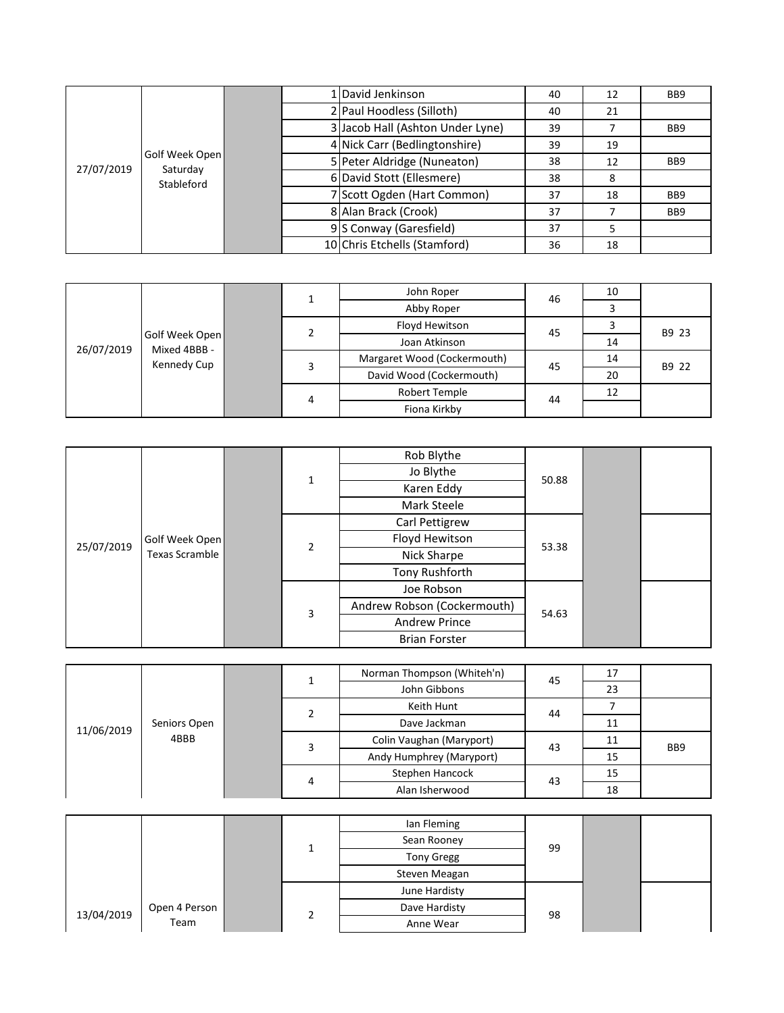|                              |            |  | 1 David Jenkinson                | 40 | 12 | BB <sub>9</sub> |
|------------------------------|------------|--|----------------------------------|----|----|-----------------|
|                              |            |  | 2 Paul Hoodless (Silloth)        | 40 | 21 |                 |
| Golf Week Open<br>27/07/2019 |            |  | 3 Jacob Hall (Ashton Under Lyne) | 39 |    | BB <sub>9</sub> |
|                              |            |  | 4 Nick Carr (Bedlingtonshire)    | 39 | 19 |                 |
|                              | Saturday   |  | 5 Peter Aldridge (Nuneaton)      | 38 | 12 | BB <sub>9</sub> |
|                              | Stableford |  | 6 David Stott (Ellesmere)        | 38 | 8  |                 |
|                              |            |  | 7 Scott Ogden (Hart Common)      | 37 | 18 | BB <sub>9</sub> |
|                              |            |  | 8 Alan Brack (Crook)             | 37 |    | BB <sub>9</sub> |
|                              |            |  | 9 S Conway (Garesfield)          | 37 | כ  |                 |
|                              |            |  | 10 Chris Etchells (Stamford)     | 36 | 18 |                 |

|                                                             |  |   | 1                           | John Roper               | 46    | 10    |       |
|-------------------------------------------------------------|--|---|-----------------------------|--------------------------|-------|-------|-------|
|                                                             |  |   |                             | Abby Roper               |       | 3     |       |
|                                                             |  |   | 2                           | Floyd Hewitson           | 45    | 3     | B9 23 |
| Golf Week Open<br>26/07/2019<br>Mixed 4BBB -<br>Kennedy Cup |  |   |                             | Joan Atkinson            |       | 14    |       |
|                                                             |  | 3 | Margaret Wood (Cockermouth) | 45                       | 14    | B9 22 |       |
|                                                             |  |   |                             | David Wood (Cockermouth) |       | 20    |       |
|                                                             |  |   | 4                           | Robert Temple            | 44    | 12    |       |
|                                                             |  |   |                             | Fiona Kirkby             |       |       |       |
|                                                             |  |   |                             |                          |       |       |       |
|                                                             |  |   |                             |                          |       |       |       |
|                                                             |  |   |                             | Rob Blythe               |       |       |       |
|                                                             |  |   |                             | Jo Blythe                | 50.88 |       |       |
|                                                             |  | 1 | $-11$<br>$\sim$             |                          |       |       |       |

|            |                       |                | Rob Blythe                  |       |    |                 |
|------------|-----------------------|----------------|-----------------------------|-------|----|-----------------|
|            |                       |                | Jo Blythe                   | 50.88 |    |                 |
|            |                       | $\mathbf{1}$   | Karen Eddy                  |       |    |                 |
|            |                       |                | Mark Steele                 |       |    |                 |
|            |                       |                | Carl Pettigrew              |       |    |                 |
| 25/07/2019 | Golf Week Open        | $\overline{2}$ | Floyd Hewitson              | 53.38 |    |                 |
|            | <b>Texas Scramble</b> |                | Nick Sharpe                 |       |    |                 |
|            |                       |                | Tony Rushforth              |       |    |                 |
|            |                       |                | Joe Robson                  |       |    |                 |
|            |                       | 3              | Andrew Robson (Cockermouth) | 54.63 |    |                 |
|            |                       |                | <b>Andrew Prince</b>        |       |    |                 |
|            |                       |                | <b>Brian Forster</b>        |       |    |                 |
|            |                       |                |                             |       |    |                 |
|            |                       | $\mathbf{1}$   | Norman Thompson (Whiteh'n)  | 45    | 17 |                 |
|            |                       |                | John Gibbons                |       | 23 |                 |
| 11/06/2019 |                       | $\overline{2}$ | Keith Hunt                  | 44    | 7  |                 |
|            | Seniors Open          |                | Dave Jackman                |       | 11 |                 |
|            | 4BBB                  | 3              | Colin Vaughan (Maryport)    | 43    | 11 | BB <sub>9</sub> |
|            |                       |                |                             |       |    |                 |

| Seniors Open<br>11/06/2019<br>4BBB |  |  |            | Norman Thompson (Whiteh'n) | 45 | 17 |                 |
|------------------------------------|--|--|------------|----------------------------|----|----|-----------------|
|                                    |  |  | ÷          | John Gibbons               |    | 23 |                 |
|                                    |  |  | Keith Hunt | 44                         |    |    |                 |
|                                    |  |  |            | Dave Jackman               |    | 11 |                 |
|                                    |  |  | 3          | Colin Vaughan (Maryport)   | 43 | 11 | BB <sub>9</sub> |
|                                    |  |  |            | Andy Humphrey (Maryport)   |    | 15 |                 |
|                                    |  |  | 4          | Stephen Hancock            | 43 | 15 |                 |
|                                    |  |  |            | Alan Isherwood             |    | 18 |                 |

|            |               |   | lan Fleming   |    |  |
|------------|---------------|---|---------------|----|--|
|            |               |   | Sean Rooney   | 99 |  |
|            |               |   | Tony Gregg    |    |  |
|            |               |   | Steven Meagan |    |  |
|            |               |   | June Hardisty |    |  |
| 13/04/2019 | Open 4 Person | ำ | Dave Hardisty | 98 |  |
|            | Team          |   | Anne Wear     |    |  |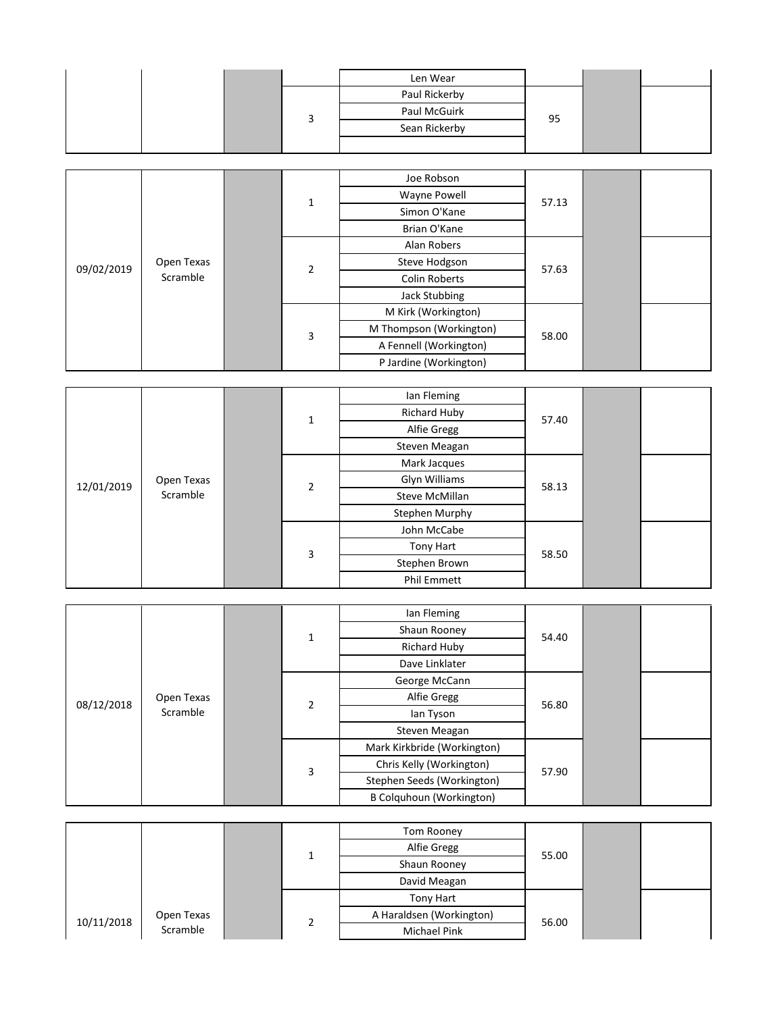|  |   | Len Wear            |       |  |
|--|---|---------------------|-------|--|
|  |   | Paul Rickerby       |       |  |
|  | 3 | Paul McGuirk        | 95    |  |
|  |   | Sean Rickerby       |       |  |
|  |   |                     |       |  |
|  |   |                     |       |  |
|  |   | Joe Robson          |       |  |
|  |   | <b>Wayne Powell</b> | 57.13 |  |
|  |   |                     |       |  |

|                        |            |  |                | Joe Robson              |       |  |  |
|------------------------|------------|--|----------------|-------------------------|-------|--|--|
| 09/02/2019<br>Scramble |            |  | $\mathbf 1$    | Wayne Powell            | 57.13 |  |  |
|                        |            |  |                | Simon O'Kane            |       |  |  |
|                        |            |  |                | Brian O'Kane            |       |  |  |
|                        |            |  |                | Alan Robers             |       |  |  |
|                        | Open Texas |  |                | Steve Hodgson           | 57.63 |  |  |
|                        |            |  | $\overline{2}$ | <b>Colin Roberts</b>    |       |  |  |
|                        |            |  |                | Jack Stubbing           |       |  |  |
|                        |            |  | 3              | M Kirk (Workington)     |       |  |  |
|                        |            |  |                | M Thompson (Workington) | 58.00 |  |  |
|                        |            |  |                | A Fennell (Workington)  |       |  |  |
|                        |            |  |                | P Jardine (Workington)  |       |  |  |
|                        |            |  |                |                         |       |  |  |
|                        |            |  |                | lan Fleming             |       |  |  |
|                        |            |  |                | Richard Huby            | 57.40 |  |  |
|                        |            |  |                | $\sim$ $\sim$ $\sim$    |       |  |  |

|            |            |  |                | lan Fleming         |       |  |  |
|------------|------------|--|----------------|---------------------|-------|--|--|
| 12/01/2019 |            |  | $\mathbf 1$    | <b>Richard Huby</b> | 57.40 |  |  |
|            |            |  |                | Alfie Gregg         |       |  |  |
|            |            |  |                | Steven Meagan       |       |  |  |
|            |            |  |                | Mark Jacques        |       |  |  |
|            | Open Texas |  |                | Glyn Williams       | 58.13 |  |  |
|            | Scramble   |  | $\overline{2}$ | Steve McMillan      |       |  |  |
|            |            |  |                | Stephen Murphy      |       |  |  |
|            |            |  | 3              | John McCabe         |       |  |  |
|            |            |  |                | Tony Hart           | 58.50 |  |  |
|            |            |  |                | Stephen Brown       |       |  |  |
|            |            |  |                | Phil Emmett         |       |  |  |
|            |            |  |                |                     |       |  |  |
|            |            |  |                | lan Fleming         |       |  |  |
|            |            |  |                | Shaun Rooney        | 54.40 |  |  |
|            |            |  |                |                     |       |  |  |

|                        |            |  |                | Ian Fleming                     |       |  |  |
|------------------------|------------|--|----------------|---------------------------------|-------|--|--|
|                        |            |  | 1              | Shaun Rooney                    | 54.40 |  |  |
|                        |            |  |                | <b>Richard Huby</b>             |       |  |  |
| 08/12/2018<br>Scramble |            |  |                | Dave Linklater                  |       |  |  |
|                        |            |  |                | George McCann                   |       |  |  |
|                        | Open Texas |  |                | Alfie Gregg                     | 56.80 |  |  |
|                        |            |  | $\overline{2}$ | lan Tyson                       |       |  |  |
|                        |            |  |                | Steven Meagan                   |       |  |  |
|                        |            |  | 3              | Mark Kirkbride (Workington)     |       |  |  |
|                        |            |  |                | Chris Kelly (Workington)        | 57.90 |  |  |
|                        |            |  |                | Stephen Seeds (Workington)      |       |  |  |
|                        |            |  |                | <b>B Colquhoun (Workington)</b> |       |  |  |
|                        |            |  |                |                                 |       |  |  |
|                        |            |  |                | Tom Rooney                      |       |  |  |
|                        |            |  |                | Alfie Gregg                     | 55.00 |  |  |
|                        |            |  |                |                                 |       |  |  |

|            |            |  |  | Tom Rooney               |       |  |
|------------|------------|--|--|--------------------------|-------|--|
|            |            |  |  | Alfie Gregg              | 55.00 |  |
|            |            |  |  | Shaun Rooney             |       |  |
|            |            |  |  | David Meagan             |       |  |
|            |            |  |  | Tony Hart                |       |  |
| 10/11/2018 | Open Texas |  |  | A Haraldsen (Workington) | 56.00 |  |
|            | Scramble   |  |  | <b>Michael Pink</b>      |       |  |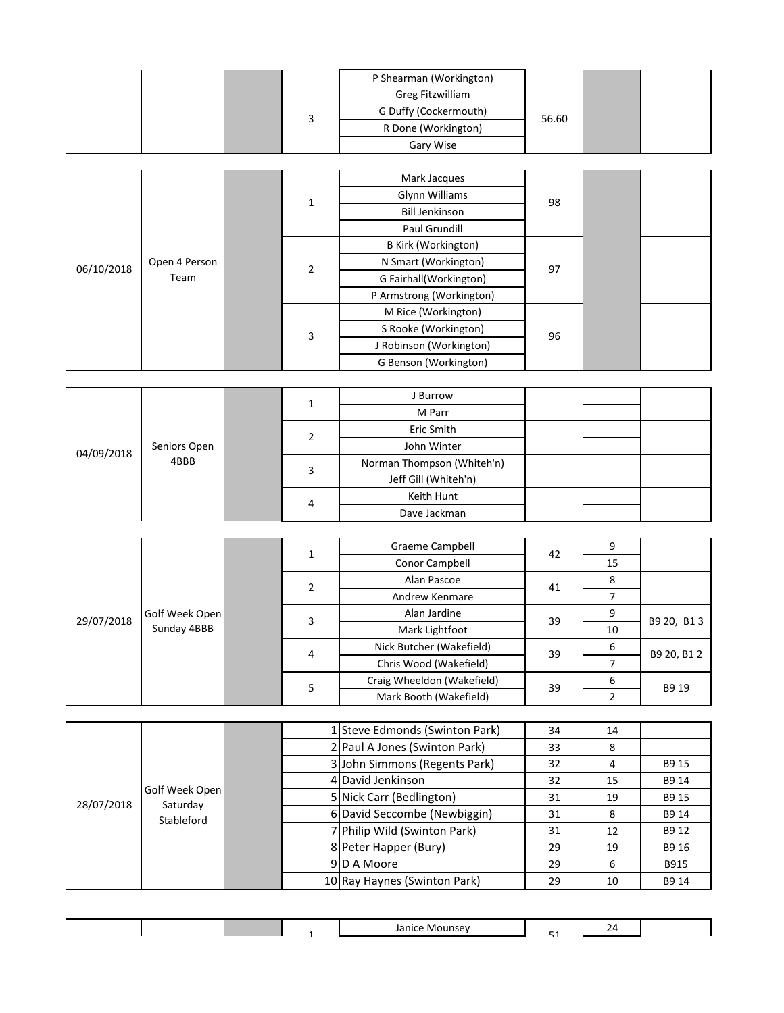|  |  | P Shearman (Workington) |       |  |
|--|--|-------------------------|-------|--|
|  |  | Greg Fitzwilliam        |       |  |
|  |  | G Duffy (Cockermouth)   | 56.60 |  |
|  |  | R Done (Workington)     |       |  |
|  |  | Gary Wise               |       |  |

|            |               |  |                | Mark Jacques               |    |  |  |
|------------|---------------|--|----------------|----------------------------|----|--|--|
|            |               |  |                | Glynn Williams             |    |  |  |
|            |               |  | 1              | <b>Bill Jenkinson</b>      | 98 |  |  |
|            |               |  |                | Paul Grundill              |    |  |  |
|            |               |  |                | <b>B Kirk (Workington)</b> |    |  |  |
|            | Open 4 Person |  | $\overline{2}$ | N Smart (Workington)       |    |  |  |
| 06/10/2018 | Team          |  |                | G Fairhall(Workington)     | 97 |  |  |
|            |               |  |                | P Armstrong (Workington)   |    |  |  |
|            |               |  |                | M Rice (Workington)        |    |  |  |
|            |               |  | 3              | S Rooke (Workington)       | 96 |  |  |
|            |               |  |                | J Robinson (Workington)    |    |  |  |
|            |               |  |                | G Benson (Workington)      |    |  |  |

|            |              |   |   | J Burrow                   |  |  |
|------------|--------------|---|---|----------------------------|--|--|
| 04/09/2018 |              |   | ∸ | M Parr                     |  |  |
|            |              |   |   | Eric Smith                 |  |  |
|            | Seniors Open |   |   | John Winter                |  |  |
|            | 4BBB         |   |   | Norman Thompson (Whiteh'n) |  |  |
|            |              | 4 |   | Jeff Gill (Whiteh'n)       |  |  |
|            |              |   |   | Keith Hunt                 |  |  |
|            |              |   |   | Dave Jackman               |  |  |

|            |                |  |        | <b>Graeme Campbell</b>     | 42 |    |             |
|------------|----------------|--|--------|----------------------------|----|----|-------------|
|            |                |  | Ŧ.     | Conor Campbell             |    | 15 |             |
|            |                |  | 2      | Alan Pascoe                | 41 | 8  |             |
| 29/07/2018 |                |  |        | Andrew Kenmare             |    |    |             |
|            | Golf Week Open |  | 3<br>4 | Alan Jardine               | 39 |    | B9 20, B1 3 |
|            | Sunday 4BBB    |  |        | Mark Lightfoot             |    | 10 |             |
|            |                |  |        | Nick Butcher (Wakefield)   | 39 | 6  | B9 20, B1 2 |
|            |                |  |        | Chris Wood (Wakefield)     |    |    |             |
|            |                |  | 5      | Craig Wheeldon (Wakefield) | 39 | 6  | B9 19       |
|            |                |  |        | Mark Booth (Wakefield)     |    |    |             |

|            |                            |  | 1 Steve Edmonds (Swinton Park) | 34 | 14 |       |  |                       |    |    |       |
|------------|----------------------------|--|--------------------------------|----|----|-------|--|-----------------------|----|----|-------|
|            |                            |  | 2 Paul A Jones (Swinton Park)  | 33 | 8  |       |  |                       |    |    |       |
|            |                            |  | 3 John Simmons (Regents Park)  | 32 | 4  | B9 15 |  |                       |    |    |       |
|            |                            |  | 4 David Jenkinson              | 32 | 15 | B9 14 |  |                       |    |    |       |
| 28/07/2018 | Golf Week Open<br>Saturday |  | 5 Nick Carr (Bedlington)       | 31 | 19 | B9 15 |  |                       |    |    |       |
|            | Stableford                 |  | 6 David Seccombe (Newbiggin)   | 31 | 8  | B9 14 |  |                       |    |    |       |
|            |                            |  | 7 Philip Wild (Swinton Park)   | 31 | 12 | B9 12 |  |                       |    |    |       |
|            |                            |  |                                |    |    |       |  | 8 Peter Happer (Bury) | 29 | 19 | B9 16 |
|            |                            |  | 9D A Moore                     | 29 | 6  | B915  |  |                       |    |    |       |
|            |                            |  | 10 Ray Haynes (Swinton Park)   | 29 | 10 | B9 14 |  |                       |    |    |       |

|  |  | — <b>—</b><br>- ^<br>. . | -<br>- |  |
|--|--|--------------------------|--------|--|
|  |  |                          |        |  |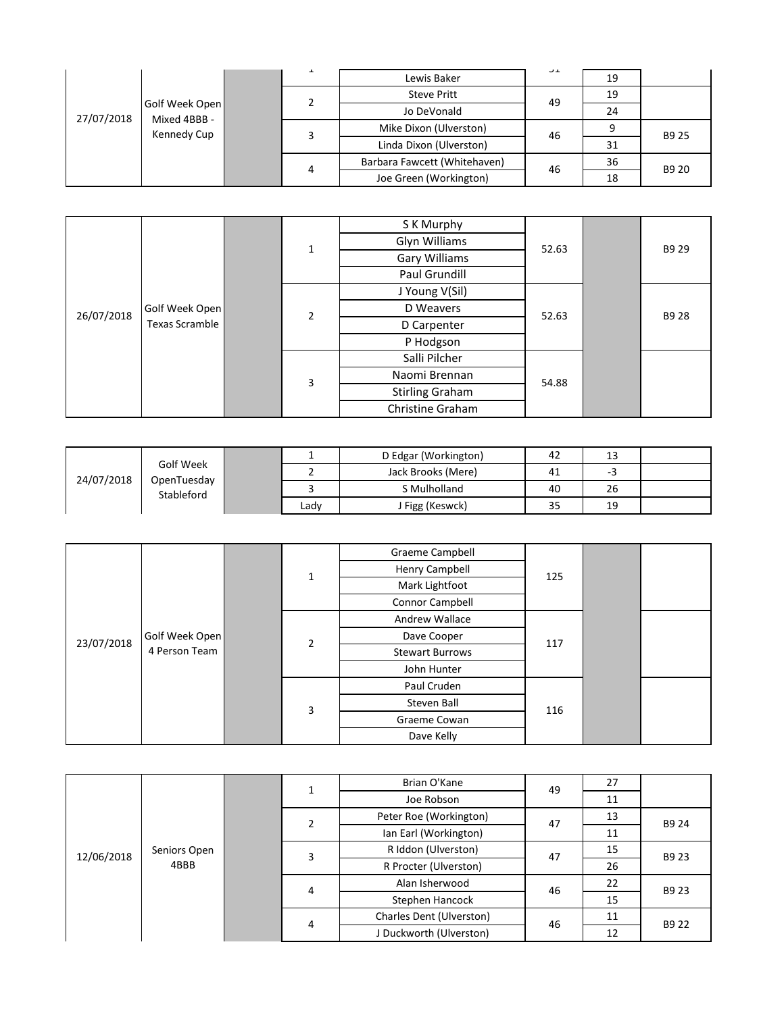| 27/07/2018 | Golf Week Open<br>Mixed 4BBB -<br>Kennedy Cup | ᅩ | Lewis Baker                  | ⊥ ب | 19 |                |
|------------|-----------------------------------------------|---|------------------------------|-----|----|----------------|
|            |                                               |   | <b>Steve Pritt</b>           | 49  | 19 |                |
|            |                                               |   | Jo DeVonald                  |     | 24 |                |
|            |                                               |   | Mike Dixon (Ulverston)       | 46  |    | B9 25<br>B9 20 |
|            |                                               |   | Linda Dixon (Ulverston)      |     | 31 |                |
|            |                                               | 4 | Barbara Fawcett (Whitehaven) | 46  | 36 |                |
|            |                                               |   | Joe Green (Workington)       |     | 18 |                |

|            |                       |        | $\mathbf{1}$ | S K Murphy             |       |  | B9 29 |
|------------|-----------------------|--------|--------------|------------------------|-------|--|-------|
|            |                       |        |              | Glyn Williams          | 52.63 |  |       |
|            |                       |        |              | Gary Williams          |       |  |       |
|            |                       |        |              | Paul Grundill          |       |  |       |
|            | Golf Week Open        | 2<br>3 |              | J Young V(Sil)         | 52.63 |  | B9 28 |
| 26/07/2018 |                       |        |              | D Weavers              |       |  |       |
|            | <b>Texas Scramble</b> |        |              | D Carpenter            |       |  |       |
|            |                       |        |              | P Hodgson              |       |  |       |
|            |                       |        |              | Salli Pilcher          | 54.88 |  |       |
|            |                       |        |              | Naomi Brennan          |       |  |       |
|            |                       |        |              | <b>Stirling Graham</b> |       |  |       |
|            |                       |        |              | Christine Graham       |       |  |       |

| 24/07/2018 | Golf Week<br>OpenTuesday<br>Stableford |      | D Edgar (Workington) | 42 | 13 |  |
|------------|----------------------------------------|------|----------------------|----|----|--|
|            |                                        |      | Jack Brooks (Mere)   | 41 | -- |  |
|            |                                        |      | S Mulholland         | 40 | 26 |  |
|            |                                        | Ladv | J Figg (Keswck)      | 35 | 19 |  |

|            |                |             | $\mathbf 1$    | <b>Graeme Campbell</b> |     |    |       |
|------------|----------------|-------------|----------------|------------------------|-----|----|-------|
|            |                |             |                | Henry Campbell         |     |    |       |
|            |                |             |                | Mark Lightfoot         | 125 |    |       |
|            |                |             |                | Connor Campbell        |     |    |       |
|            |                |             |                | Andrew Wallace         |     |    |       |
| 23/07/2018 | Golf Week Open |             |                | Dave Cooper            |     |    |       |
|            | 4 Person Team  |             | $\overline{2}$ | <b>Stewart Burrows</b> | 117 |    |       |
|            |                |             |                | John Hunter            |     |    |       |
|            |                |             |                | Paul Cruden            | 116 |    |       |
|            |                |             | 3              | Steven Ball            |     |    |       |
|            |                |             |                | Graeme Cowan           |     |    |       |
|            |                |             |                | Dave Kelly             |     |    |       |
|            |                |             |                |                        |     |    |       |
|            |                |             |                |                        |     |    |       |
|            |                | $\mathbf 1$ |                | Brian O'Kane           | 49  | 27 |       |
|            |                |             |                | Joe Robson             |     | 11 |       |
|            |                |             | 2              | Peter Roe (Workington) | 47  | 13 | B9 24 |
|            |                |             |                | Ian Earl (Workington)  |     | 11 |       |
|            | Seniors Open   |             |                | R Iddon (Ulverston)    | 47  | 15 |       |
| 12/06/2018 | 1000           |             | 3              | $\cdots$               |     |    | B9 23 |

|            |              |   |   | Brian O'Kane             | 49 | 27 |       |
|------------|--------------|---|---|--------------------------|----|----|-------|
|            |              |   |   | Joe Robson               |    | 11 |       |
|            |              |   | 2 | Peter Roe (Workington)   | 47 | 13 | B9 24 |
| 12/06/2018 | Seniors Open |   |   | Ian Earl (Workington)    |    | 11 |       |
|            |              |   | 3 | R Iddon (Ulverston)      | 47 | 15 | B9 23 |
|            | 4BBB         |   |   | R Procter (Ulverston)    |    | 26 |       |
|            |              |   | 4 | Alan Isherwood           | 46 | 22 | B9 23 |
|            |              |   |   | Stephen Hancock          |    | 15 |       |
|            |              | 4 |   | Charles Dent (Ulverston) | 46 | 11 | B9 22 |
|            |              |   |   | J Duckworth (Ulverston)  |    | 12 |       |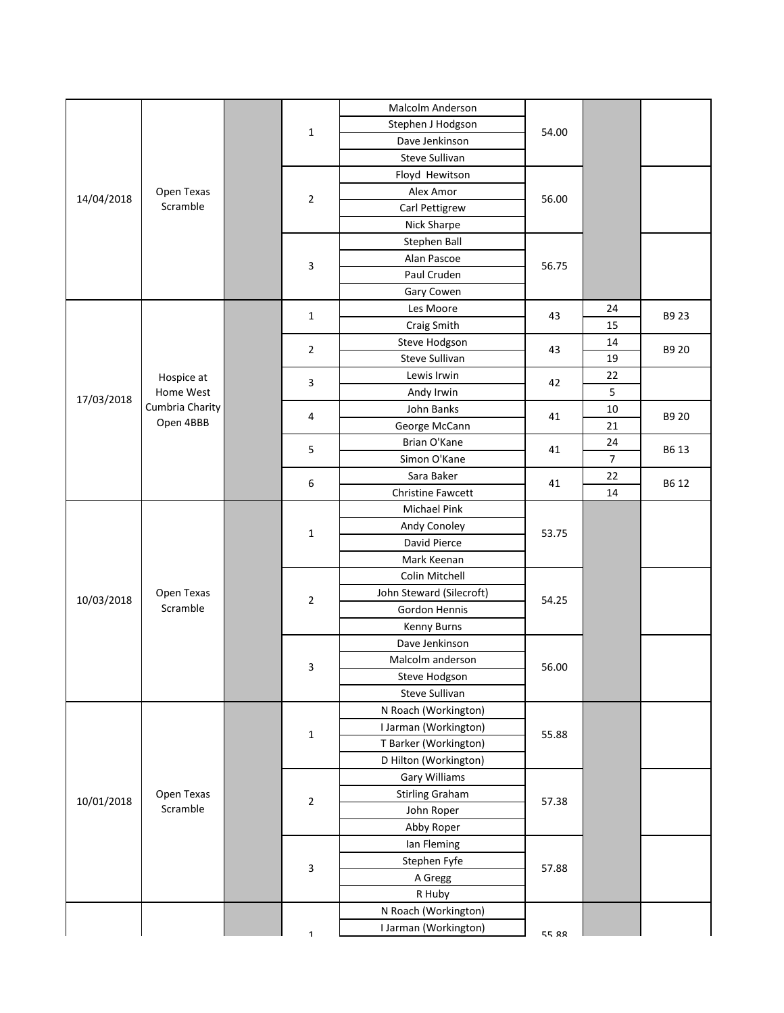| Malcolm Anderson<br>Stephen J Hodgson<br>$\mathbf 1$<br>54.00<br>Dave Jenkinson<br>Steve Sullivan |       |
|---------------------------------------------------------------------------------------------------|-------|
|                                                                                                   |       |
|                                                                                                   |       |
|                                                                                                   |       |
| Floyd Hewitson                                                                                    |       |
| Open Texas<br>Alex Amor                                                                           |       |
| 14/04/2018<br>$\overline{2}$<br>56.00<br>Scramble<br>Carl Pettigrew                               |       |
| Nick Sharpe                                                                                       |       |
| Stephen Ball                                                                                      |       |
| Alan Pascoe                                                                                       |       |
| 3<br>56.75<br>Paul Cruden                                                                         |       |
| Gary Cowen                                                                                        |       |
| Les Moore<br>24                                                                                   |       |
| $\mathbf 1$<br>43<br>15<br>Craig Smith                                                            | B9 23 |
| Steve Hodgson<br>14                                                                               |       |
| $\overline{2}$<br>43<br>Steve Sullivan<br>19                                                      | B9 20 |
| 22<br>Lewis Irwin<br>Hospice at                                                                   |       |
| 3<br>42<br>5<br>Home West<br>Andy Irwin                                                           |       |
| 17/03/2018<br>Cumbria Charity<br>$10\,$<br>John Banks                                             |       |
| $\overline{a}$<br>41<br>Open 4BBB<br>George McCann<br>21                                          | B9 20 |
| Brian O'Kane<br>24                                                                                |       |
| 5<br>41<br>$\overline{7}$<br>Simon O'Kane                                                         | B6 13 |
| Sara Baker<br>22                                                                                  |       |
| 6<br>41<br>14<br>Christine Fawcett                                                                | B6 12 |
| Michael Pink                                                                                      |       |
| Andy Conoley                                                                                      |       |
| $\mathbf{1}$<br>53.75<br>David Pierce                                                             |       |
| Mark Keenan                                                                                       |       |
| Colin Mitchell                                                                                    |       |
| Open Texas<br>John Steward (Silecroft)                                                            |       |
| 10/03/2018<br>$\overline{2}$<br>54.25<br>Scramble<br>Gordon Hennis                                |       |
| Kenny Burns                                                                                       |       |
| Dave Jenkinson                                                                                    |       |
| Malcolm anderson                                                                                  |       |
| 56.00<br>3<br>Steve Hodgson                                                                       |       |
| Steve Sullivan                                                                                    |       |
| N Roach (Workington)                                                                              |       |
| I Jarman (Workington)                                                                             |       |
| $\mathbf{1}$<br>55.88<br>T Barker (Workington)                                                    |       |
| D Hilton (Workington)                                                                             |       |
| Gary Williams                                                                                     |       |
| Open Texas<br><b>Stirling Graham</b>                                                              |       |
| 10/01/2018<br>$\sqrt{2}$<br>57.38<br>Scramble<br>John Roper                                       |       |
| Abby Roper                                                                                        |       |
| Ian Fleming                                                                                       |       |
| Stephen Fyfe                                                                                      |       |
| 3<br>57.88<br>A Gregg                                                                             |       |
| R Huby                                                                                            |       |
| N Roach (Workington)                                                                              |       |
| I Jarman (Workington)<br>55.88<br>$\mathbf 1$                                                     |       |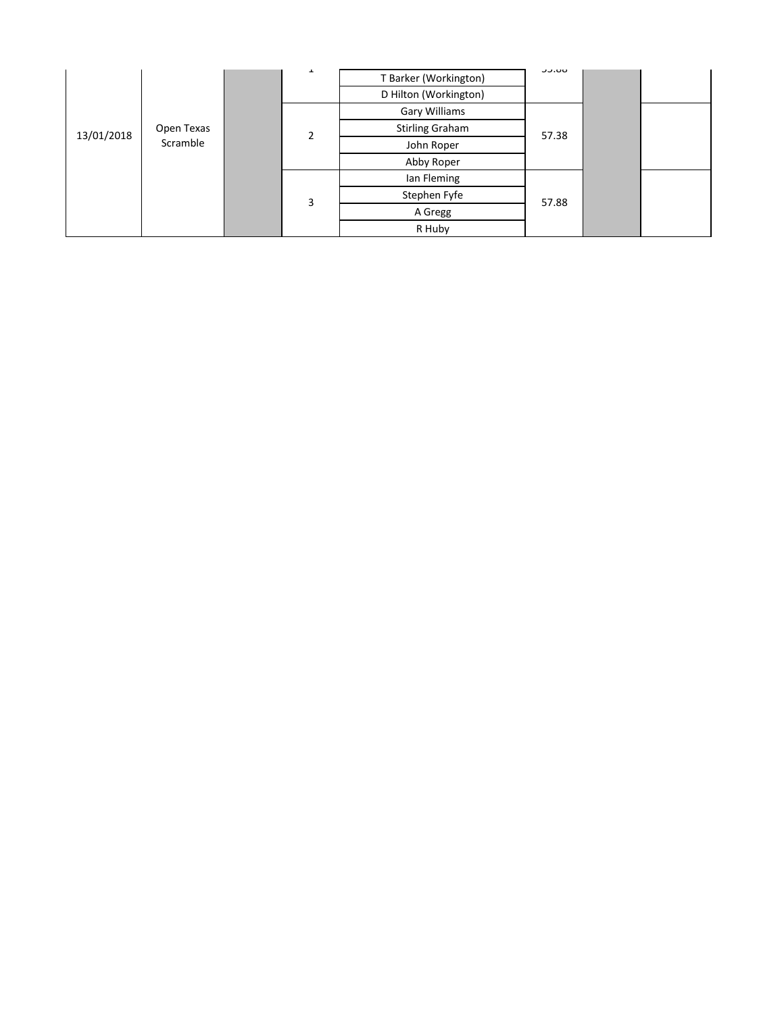| 13/01/2018 |            |  | ᆂ              | T Barker (Workington)<br>D Hilton (Workington) | טט.ככ |  |  |
|------------|------------|--|----------------|------------------------------------------------|-------|--|--|
|            |            |  | $\overline{2}$ | Gary Williams                                  |       |  |  |
|            | Open Texas |  |                | <b>Stirling Graham</b>                         | 57.38 |  |  |
|            | Scramble   |  |                | John Roper                                     |       |  |  |
|            |            |  |                | Abby Roper                                     |       |  |  |
|            |            |  |                | lan Fleming                                    |       |  |  |
|            |            |  | 3              | Stephen Fyfe                                   | 57.88 |  |  |
|            |            |  |                | A Gregg                                        |       |  |  |
|            |            |  |                | R Huby                                         |       |  |  |